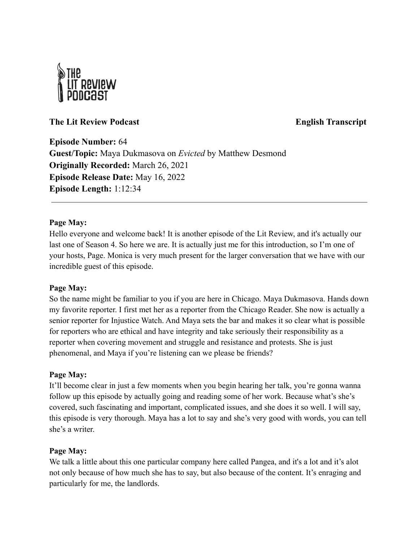

# **The Lit Review Podcast English Transcript**

**Episode Number:** 64 **Guest/Topic:** Maya Dukmasova on *Evicted* by Matthew Desmond **Originally Recorded:** March 26, 2021 **Episode Release Date:** May 16, 2022 **Episode Length:** 1:12:34

# **Page May:**

Hello everyone and welcome back! It is another episode of the Lit Review, and it's actually our last one of Season 4. So here we are. It is actually just me for this introduction, so I'm one of your hosts, Page. Monica is very much present for the larger conversation that we have with our incredible guest of this episode.

## **Page May:**

So the name might be familiar to you if you are here in Chicago. Maya Dukmasova. Hands down my favorite reporter. I first met her as a reporter from the Chicago Reader. She now is actually a senior reporter for Injustice Watch. And Maya sets the bar and makes it so clear what is possible for reporters who are ethical and have integrity and take seriously their responsibility as a reporter when covering movement and struggle and resistance and protests. She is just phenomenal, and Maya if you're listening can we please be friends?

## **Page May:**

It'll become clear in just a few moments when you begin hearing her talk, you're gonna wanna follow up this episode by actually going and reading some of her work. Because what's she's covered, such fascinating and important, complicated issues, and she does it so well. I will say, this episode is very thorough. Maya has a lot to say and she's very good with words, you can tell she's a writer.

## **Page May:**

We talk a little about this one particular company here called Pangea, and it's a lot and it's alot not only because of how much she has to say, but also because of the content. It's enraging and particularly for me, the landlords.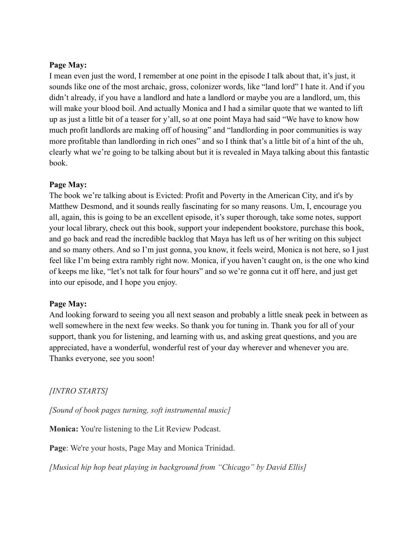## **Page May:**

I mean even just the word, I remember at one point in the episode I talk about that, it's just, it sounds like one of the most archaic, gross, colonizer words, like "land lord" I hate it. And if you didn't already, if you have a landlord and hate a landlord or maybe you are a landlord, um, this will make your blood boil. And actually Monica and I had a similar quote that we wanted to lift up as just a little bit of a teaser for y'all, so at one point Maya had said "We have to know how much profit landlords are making off of housing" and "landlording in poor communities is way more profitable than landlording in rich ones" and so I think that's a little bit of a hint of the uh, clearly what we're going to be talking about but it is revealed in Maya talking about this fantastic book.

### **Page May:**

The book we're talking about is Evicted: Profit and Poverty in the American City, and it's by Matthew Desmond, and it sounds really fascinating for so many reasons. Um, I, encourage you all, again, this is going to be an excellent episode, it's super thorough, take some notes, support your local library, check out this book, support your independent bookstore, purchase this book, and go back and read the incredible backlog that Maya has left us of her writing on this subject and so many others. And so I'm just gonna, you know, it feels weird, Monica is not here, so I just feel like I'm being extra rambly right now. Monica, if you haven't caught on, is the one who kind of keeps me like, "let's not talk for four hours" and so we're gonna cut it off here, and just get into our episode, and I hope you enjoy.

## **Page May:**

And looking forward to seeing you all next season and probably a little sneak peek in between as well somewhere in the next few weeks. So thank you for tuning in. Thank you for all of your support, thank you for listening, and learning with us, and asking great questions, and you are appreciated, have a wonderful, wonderful rest of your day wherever and whenever you are. Thanks everyone, see you soon!

## *[INTRO STARTS]*

*[Sound of book pages turning, soft instrumental music]*

**Monica:** You're listening to the Lit Review Podcast.

**Page**: We're your hosts, Page May and Monica Trinidad.

*[Musical hip hop beat playing in background from "Chicago" by David Ellis]*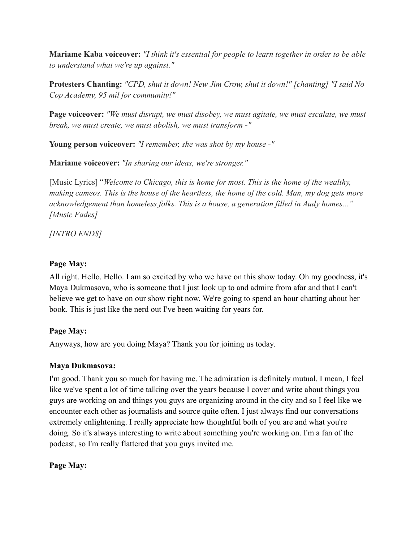**Mariame Kaba voiceover:** *"I think it's essential for people to learn together in order to be able to understand what we're up against."*

**Protesters Chanting:** *"CPD, shut it down! New Jim Crow, shut it down!" [chanting] "I said No Cop Academy, 95 mil for community!"*

**Page voiceover:** *"We must disrupt, we must disobey, we must agitate, we must escalate, we must break, we must create, we must abolish, we must transform -"*

**Young person voiceover:** *"I remember, she was shot by my house -"*

**Mariame voiceover:** *"In sharing our ideas, we're stronger."*

[Music Lyrics] "*Welcome to Chicago, this is home for most. This is the home of the wealthy, making cameos. This is the house of the heartless, the home of the cold. Man, my dog gets more acknowledgement than homeless folks. This is a house, a generation filled in Audy homes..." [Music Fades]*

*[INTRO ENDS]*

# **Page May:**

All right. Hello. Hello. I am so excited by who we have on this show today. Oh my goodness, it's Maya Dukmasova, who is someone that I just look up to and admire from afar and that I can't believe we get to have on our show right now. We're going to spend an hour chatting about her book. This is just like the nerd out I've been waiting for years for.

# **Page May:**

Anyways, how are you doing Maya? Thank you for joining us today.

## **Maya Dukmasova:**

I'm good. Thank you so much for having me. The admiration is definitely mutual. I mean, I feel like we've spent a lot of time talking over the years because I cover and write about things you guys are working on and things you guys are organizing around in the city and so I feel like we encounter each other as journalists and source quite often. I just always find our conversations extremely enlightening. I really appreciate how thoughtful both of you are and what you're doing. So it's always interesting to write about something you're working on. I'm a fan of the podcast, so I'm really flattered that you guys invited me.

# **Page May:**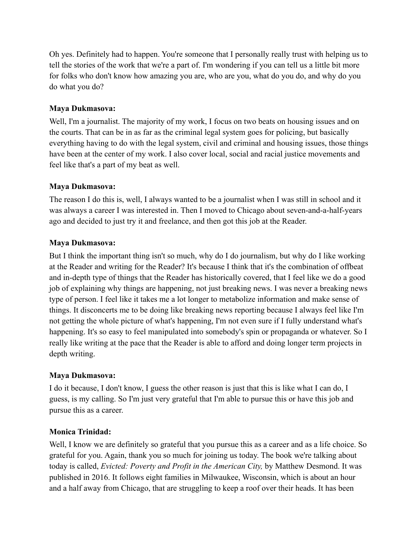Oh yes. Definitely had to happen. You're someone that I personally really trust with helping us to tell the stories of the work that we're a part of. I'm wondering if you can tell us a little bit more for folks who don't know how amazing you are, who are you, what do you do, and why do you do what you do?

# **Maya Dukmasova:**

Well, I'm a journalist. The majority of my work, I focus on two beats on housing issues and on the courts. That can be in as far as the criminal legal system goes for policing, but basically everything having to do with the legal system, civil and criminal and housing issues, those things have been at the center of my work. I also cover local, social and racial justice movements and feel like that's a part of my beat as well.

# **Maya Dukmasova:**

The reason I do this is, well, I always wanted to be a journalist when I was still in school and it was always a career I was interested in. Then I moved to Chicago about seven-and-a-half-years ago and decided to just try it and freelance, and then got this job at the Reader.

# **Maya Dukmasova:**

But I think the important thing isn't so much, why do I do journalism, but why do I like working at the Reader and writing for the Reader? It's because I think that it's the combination of offbeat and in-depth type of things that the Reader has historically covered, that I feel like we do a good job of explaining why things are happening, not just breaking news. I was never a breaking news type of person. I feel like it takes me a lot longer to metabolize information and make sense of things. It disconcerts me to be doing like breaking news reporting because I always feel like I'm not getting the whole picture of what's happening, I'm not even sure if I fully understand what's happening. It's so easy to feel manipulated into somebody's spin or propaganda or whatever. So I really like writing at the pace that the Reader is able to afford and doing longer term projects in depth writing.

## **Maya Dukmasova:**

I do it because, I don't know, I guess the other reason is just that this is like what I can do, I guess, is my calling. So I'm just very grateful that I'm able to pursue this or have this job and pursue this as a career.

## **Monica Trinidad:**

Well, I know we are definitely so grateful that you pursue this as a career and as a life choice. So grateful for you. Again, thank you so much for joining us today. The book we're talking about today is called, *Evicted: Poverty and Profit in the American City,* by Matthew Desmond. It was published in 2016. It follows eight families in Milwaukee, Wisconsin, which is about an hour and a half away from Chicago, that are struggling to keep a roof over their heads. It has been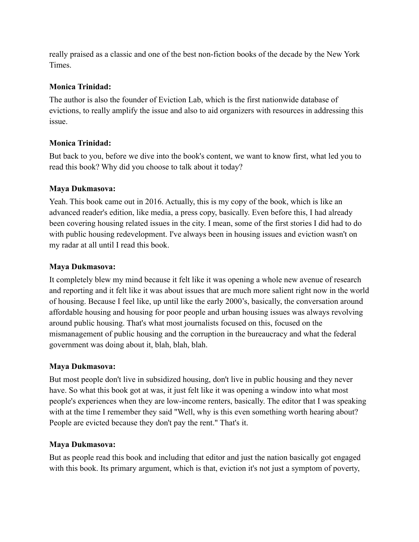really praised as a classic and one of the best non-fiction books of the decade by the New York Times.

# **Monica Trinidad:**

The author is also the founder of Eviction Lab, which is the first nationwide database of evictions, to really amplify the issue and also to aid organizers with resources in addressing this issue.

# **Monica Trinidad:**

But back to you, before we dive into the book's content, we want to know first, what led you to read this book? Why did you choose to talk about it today?

# **Maya Dukmasova:**

Yeah. This book came out in 2016. Actually, this is my copy of the book, which is like an advanced reader's edition, like media, a press copy, basically. Even before this, I had already been covering housing related issues in the city. I mean, some of the first stories I did had to do with public housing redevelopment. I've always been in housing issues and eviction wasn't on my radar at all until I read this book.

# **Maya Dukmasova:**

It completely blew my mind because it felt like it was opening a whole new avenue of research and reporting and it felt like it was about issues that are much more salient right now in the world of housing. Because I feel like, up until like the early 2000's, basically, the conversation around affordable housing and housing for poor people and urban housing issues was always revolving around public housing. That's what most journalists focused on this, focused on the mismanagement of public housing and the corruption in the bureaucracy and what the federal government was doing about it, blah, blah, blah.

## **Maya Dukmasova:**

But most people don't live in subsidized housing, don't live in public housing and they never have. So what this book got at was, it just felt like it was opening a window into what most people's experiences when they are low-income renters, basically. The editor that I was speaking with at the time I remember they said "Well, why is this even something worth hearing about? People are evicted because they don't pay the rent." That's it.

## **Maya Dukmasova:**

But as people read this book and including that editor and just the nation basically got engaged with this book. Its primary argument, which is that, eviction it's not just a symptom of poverty,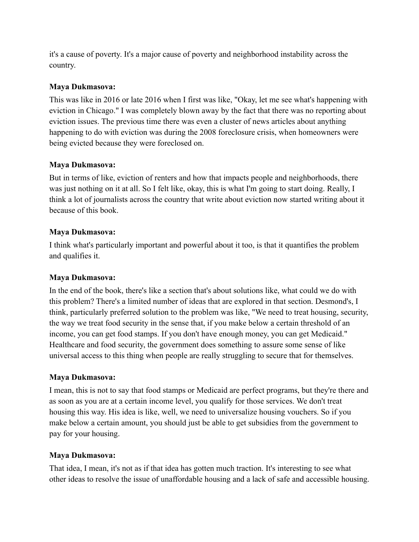it's a cause of poverty. It's a major cause of poverty and neighborhood instability across the country.

# **Maya Dukmasova:**

This was like in 2016 or late 2016 when I first was like, "Okay, let me see what's happening with eviction in Chicago." I was completely blown away by the fact that there was no reporting about eviction issues. The previous time there was even a cluster of news articles about anything happening to do with eviction was during the 2008 foreclosure crisis, when homeowners were being evicted because they were foreclosed on.

# **Maya Dukmasova:**

But in terms of like, eviction of renters and how that impacts people and neighborhoods, there was just nothing on it at all. So I felt like, okay, this is what I'm going to start doing. Really, I think a lot of journalists across the country that write about eviction now started writing about it because of this book.

# **Maya Dukmasova:**

I think what's particularly important and powerful about it too, is that it quantifies the problem and qualifies it.

## **Maya Dukmasova:**

In the end of the book, there's like a section that's about solutions like, what could we do with this problem? There's a limited number of ideas that are explored in that section. Desmond's, I think, particularly preferred solution to the problem was like, "We need to treat housing, security, the way we treat food security in the sense that, if you make below a certain threshold of an income, you can get food stamps. If you don't have enough money, you can get Medicaid." Healthcare and food security, the government does something to assure some sense of like universal access to this thing when people are really struggling to secure that for themselves.

## **Maya Dukmasova:**

I mean, this is not to say that food stamps or Medicaid are perfect programs, but they're there and as soon as you are at a certain income level, you qualify for those services. We don't treat housing this way. His idea is like, well, we need to universalize housing vouchers. So if you make below a certain amount, you should just be able to get subsidies from the government to pay for your housing.

## **Maya Dukmasova:**

That idea, I mean, it's not as if that idea has gotten much traction. It's interesting to see what other ideas to resolve the issue of unaffordable housing and a lack of safe and accessible housing.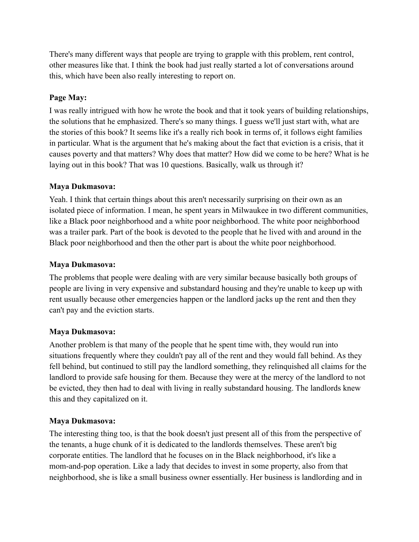There's many different ways that people are trying to grapple with this problem, rent control, other measures like that. I think the book had just really started a lot of conversations around this, which have been also really interesting to report on.

# **Page May:**

I was really intrigued with how he wrote the book and that it took years of building relationships, the solutions that he emphasized. There's so many things. I guess we'll just start with, what are the stories of this book? It seems like it's a really rich book in terms of, it follows eight families in particular. What is the argument that he's making about the fact that eviction is a crisis, that it causes poverty and that matters? Why does that matter? How did we come to be here? What is he laying out in this book? That was 10 questions. Basically, walk us through it?

## **Maya Dukmasova:**

Yeah. I think that certain things about this aren't necessarily surprising on their own as an isolated piece of information. I mean, he spent years in Milwaukee in two different communities, like a Black poor neighborhood and a white poor neighborhood. The white poor neighborhood was a trailer park. Part of the book is devoted to the people that he lived with and around in the Black poor neighborhood and then the other part is about the white poor neighborhood.

## **Maya Dukmasova:**

The problems that people were dealing with are very similar because basically both groups of people are living in very expensive and substandard housing and they're unable to keep up with rent usually because other emergencies happen or the landlord jacks up the rent and then they can't pay and the eviction starts.

## **Maya Dukmasova:**

Another problem is that many of the people that he spent time with, they would run into situations frequently where they couldn't pay all of the rent and they would fall behind. As they fell behind, but continued to still pay the landlord something, they relinquished all claims for the landlord to provide safe housing for them. Because they were at the mercy of the landlord to not be evicted, they then had to deal with living in really substandard housing. The landlords knew this and they capitalized on it.

# **Maya Dukmasova:**

The interesting thing too, is that the book doesn't just present all of this from the perspective of the tenants, a huge chunk of it is dedicated to the landlords themselves. These aren't big corporate entities. The landlord that he focuses on in the Black neighborhood, it's like a mom-and-pop operation. Like a lady that decides to invest in some property, also from that neighborhood, she is like a small business owner essentially. Her business is landlording and in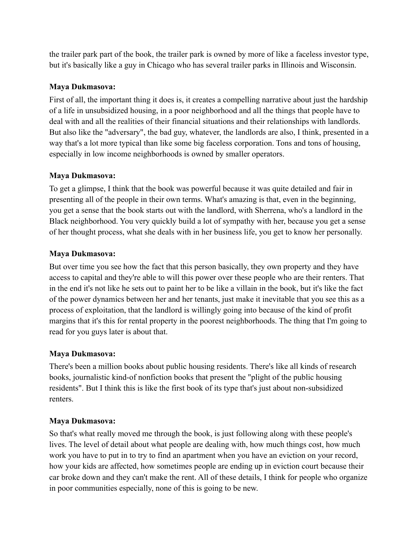the trailer park part of the book, the trailer park is owned by more of like a faceless investor type, but it's basically like a guy in Chicago who has several trailer parks in Illinois and Wisconsin.

# **Maya Dukmasova:**

First of all, the important thing it does is, it creates a compelling narrative about just the hardship of a life in unsubsidized housing, in a poor neighborhood and all the things that people have to deal with and all the realities of their financial situations and their relationships with landlords. But also like the "adversary", the bad guy, whatever, the landlords are also, I think, presented in a way that's a lot more typical than like some big faceless corporation. Tons and tons of housing, especially in low income neighborhoods is owned by smaller operators.

# **Maya Dukmasova:**

To get a glimpse, I think that the book was powerful because it was quite detailed and fair in presenting all of the people in their own terms. What's amazing is that, even in the beginning, you get a sense that the book starts out with the landlord, with Sherrena, who's a landlord in the Black neighborhood. You very quickly build a lot of sympathy with her, because you get a sense of her thought process, what she deals with in her business life, you get to know her personally.

# **Maya Dukmasova:**

But over time you see how the fact that this person basically, they own property and they have access to capital and they're able to will this power over these people who are their renters. That in the end it's not like he sets out to paint her to be like a villain in the book, but it's like the fact of the power dynamics between her and her tenants, just make it inevitable that you see this as a process of exploitation, that the landlord is willingly going into because of the kind of profit margins that it's this for rental property in the poorest neighborhoods. The thing that I'm going to read for you guys later is about that.

## **Maya Dukmasova:**

There's been a million books about public housing residents. There's like all kinds of research books, journalistic kind-of nonfiction books that present the "plight of the public housing residents". But I think this is like the first book of its type that's just about non-subsidized renters.

## **Maya Dukmasova:**

So that's what really moved me through the book, is just following along with these people's lives. The level of detail about what people are dealing with, how much things cost, how much work you have to put in to try to find an apartment when you have an eviction on your record, how your kids are affected, how sometimes people are ending up in eviction court because their car broke down and they can't make the rent. All of these details, I think for people who organize in poor communities especially, none of this is going to be new.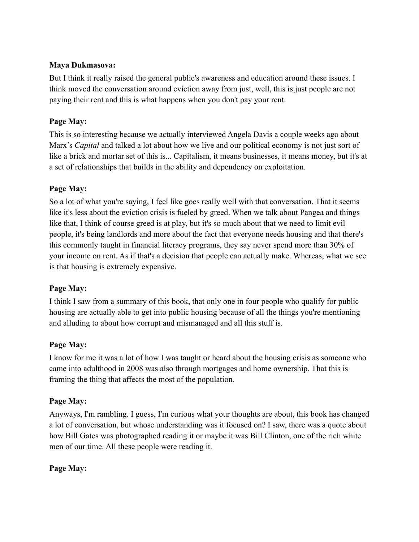# **Maya Dukmasova:**

But I think it really raised the general public's awareness and education around these issues. I think moved the conversation around eviction away from just, well, this is just people are not paying their rent and this is what happens when you don't pay your rent.

# **Page May:**

This is so interesting because we actually interviewed Angela Davis a couple weeks ago about Marx's *Capital* and talked a lot about how we live and our political economy is not just sort of like a brick and mortar set of this is... Capitalism, it means businesses, it means money, but it's at a set of relationships that builds in the ability and dependency on exploitation.

# **Page May:**

So a lot of what you're saying, I feel like goes really well with that conversation. That it seems like it's less about the eviction crisis is fueled by greed. When we talk about Pangea and things like that, I think of course greed is at play, but it's so much about that we need to limit evil people, it's being landlords and more about the fact that everyone needs housing and that there's this commonly taught in financial literacy programs, they say never spend more than 30% of your income on rent. As if that's a decision that people can actually make. Whereas, what we see is that housing is extremely expensive.

# **Page May:**

I think I saw from a summary of this book, that only one in four people who qualify for public housing are actually able to get into public housing because of all the things you're mentioning and alluding to about how corrupt and mismanaged and all this stuff is.

## **Page May:**

I know for me it was a lot of how I was taught or heard about the housing crisis as someone who came into adulthood in 2008 was also through mortgages and home ownership. That this is framing the thing that affects the most of the population.

## **Page May:**

Anyways, I'm rambling. I guess, I'm curious what your thoughts are about, this book has changed a lot of conversation, but whose understanding was it focused on? I saw, there was a quote about how Bill Gates was photographed reading it or maybe it was Bill Clinton, one of the rich white men of our time. All these people were reading it.

## **Page May:**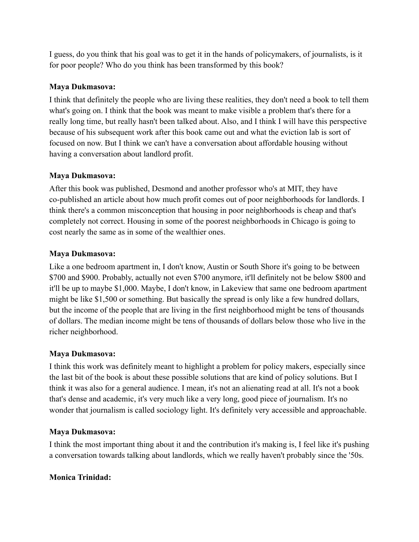I guess, do you think that his goal was to get it in the hands of policymakers, of journalists, is it for poor people? Who do you think has been transformed by this book?

# **Maya Dukmasova:**

I think that definitely the people who are living these realities, they don't need a book to tell them what's going on. I think that the book was meant to make visible a problem that's there for a really long time, but really hasn't been talked about. Also, and I think I will have this perspective because of his subsequent work after this book came out and what the eviction lab is sort of focused on now. But I think we can't have a conversation about affordable housing without having a conversation about landlord profit.

# **Maya Dukmasova:**

After this book was published, Desmond and another professor who's at MIT, they have co-published an article about how much profit comes out of poor neighborhoods for landlords. I think there's a common misconception that housing in poor neighborhoods is cheap and that's completely not correct. Housing in some of the poorest neighborhoods in Chicago is going to cost nearly the same as in some of the wealthier ones.

# **Maya Dukmasova:**

Like a one bedroom apartment in, I don't know, Austin or South Shore it's going to be between \$700 and \$900. Probably, actually not even \$700 anymore, it'll definitely not be below \$800 and it'll be up to maybe \$1,000. Maybe, I don't know, in Lakeview that same one bedroom apartment might be like \$1,500 or something. But basically the spread is only like a few hundred dollars, but the income of the people that are living in the first neighborhood might be tens of thousands of dollars. The median income might be tens of thousands of dollars below those who live in the richer neighborhood.

## **Maya Dukmasova:**

I think this work was definitely meant to highlight a problem for policy makers, especially since the last bit of the book is about these possible solutions that are kind of policy solutions. But I think it was also for a general audience. I mean, it's not an alienating read at all. It's not a book that's dense and academic, it's very much like a very long, good piece of journalism. It's no wonder that journalism is called sociology light. It's definitely very accessible and approachable.

# **Maya Dukmasova:**

I think the most important thing about it and the contribution it's making is, I feel like it's pushing a conversation towards talking about landlords, which we really haven't probably since the '50s.

## **Monica Trinidad:**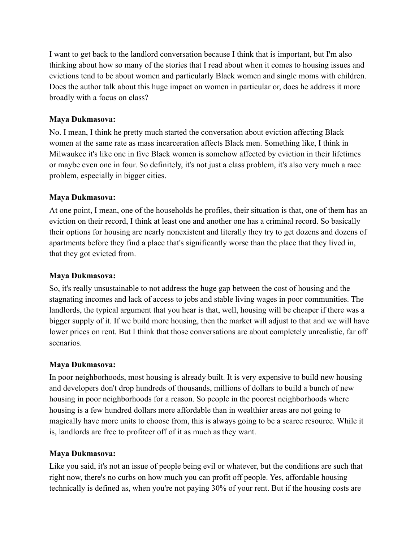I want to get back to the landlord conversation because I think that is important, but I'm also thinking about how so many of the stories that I read about when it comes to housing issues and evictions tend to be about women and particularly Black women and single moms with children. Does the author talk about this huge impact on women in particular or, does he address it more broadly with a focus on class?

## **Maya Dukmasova:**

No. I mean, I think he pretty much started the conversation about eviction affecting Black women at the same rate as mass incarceration affects Black men. Something like, I think in Milwaukee it's like one in five Black women is somehow affected by eviction in their lifetimes or maybe even one in four. So definitely, it's not just a class problem, it's also very much a race problem, especially in bigger cities.

# **Maya Dukmasova:**

At one point, I mean, one of the households he profiles, their situation is that, one of them has an eviction on their record, I think at least one and another one has a criminal record. So basically their options for housing are nearly nonexistent and literally they try to get dozens and dozens of apartments before they find a place that's significantly worse than the place that they lived in, that they got evicted from.

## **Maya Dukmasova:**

So, it's really unsustainable to not address the huge gap between the cost of housing and the stagnating incomes and lack of access to jobs and stable living wages in poor communities. The landlords, the typical argument that you hear is that, well, housing will be cheaper if there was a bigger supply of it. If we build more housing, then the market will adjust to that and we will have lower prices on rent. But I think that those conversations are about completely unrealistic, far off scenarios.

# **Maya Dukmasova:**

In poor neighborhoods, most housing is already built. It is very expensive to build new housing and developers don't drop hundreds of thousands, millions of dollars to build a bunch of new housing in poor neighborhoods for a reason. So people in the poorest neighborhoods where housing is a few hundred dollars more affordable than in wealthier areas are not going to magically have more units to choose from, this is always going to be a scarce resource. While it is, landlords are free to profiteer off of it as much as they want.

# **Maya Dukmasova:**

Like you said, it's not an issue of people being evil or whatever, but the conditions are such that right now, there's no curbs on how much you can profit off people. Yes, affordable housing technically is defined as, when you're not paying 30% of your rent. But if the housing costs are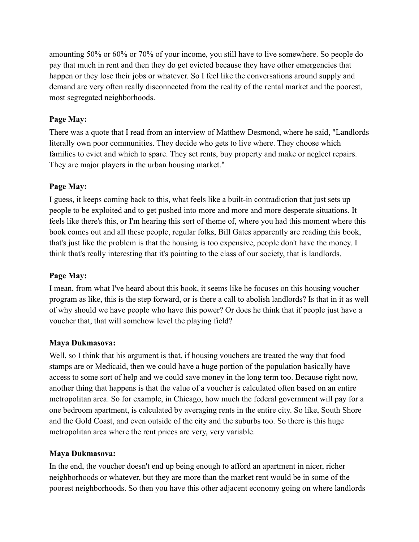amounting 50% or 60% or 70% of your income, you still have to live somewhere. So people do pay that much in rent and then they do get evicted because they have other emergencies that happen or they lose their jobs or whatever. So I feel like the conversations around supply and demand are very often really disconnected from the reality of the rental market and the poorest, most segregated neighborhoods.

# **Page May:**

There was a quote that I read from an interview of Matthew Desmond, where he said, "Landlords literally own poor communities. They decide who gets to live where. They choose which families to evict and which to spare. They set rents, buy property and make or neglect repairs. They are major players in the urban housing market."

# **Page May:**

I guess, it keeps coming back to this, what feels like a built-in contradiction that just sets up people to be exploited and to get pushed into more and more and more desperate situations. It feels like there's this, or I'm hearing this sort of theme of, where you had this moment where this book comes out and all these people, regular folks, Bill Gates apparently are reading this book, that's just like the problem is that the housing is too expensive, people don't have the money. I think that's really interesting that it's pointing to the class of our society, that is landlords.

# **Page May:**

I mean, from what I've heard about this book, it seems like he focuses on this housing voucher program as like, this is the step forward, or is there a call to abolish landlords? Is that in it as well of why should we have people who have this power? Or does he think that if people just have a voucher that, that will somehow level the playing field?

## **Maya Dukmasova:**

Well, so I think that his argument is that, if housing vouchers are treated the way that food stamps are or Medicaid, then we could have a huge portion of the population basically have access to some sort of help and we could save money in the long term too. Because right now, another thing that happens is that the value of a voucher is calculated often based on an entire metropolitan area. So for example, in Chicago, how much the federal government will pay for a one bedroom apartment, is calculated by averaging rents in the entire city. So like, South Shore and the Gold Coast, and even outside of the city and the suburbs too. So there is this huge metropolitan area where the rent prices are very, very variable.

## **Maya Dukmasova:**

In the end, the voucher doesn't end up being enough to afford an apartment in nicer, richer neighborhoods or whatever, but they are more than the market rent would be in some of the poorest neighborhoods. So then you have this other adjacent economy going on where landlords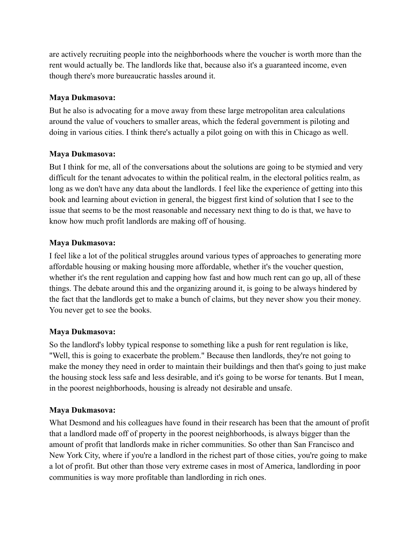are actively recruiting people into the neighborhoods where the voucher is worth more than the rent would actually be. The landlords like that, because also it's a guaranteed income, even though there's more bureaucratic hassles around it.

# **Maya Dukmasova:**

But he also is advocating for a move away from these large metropolitan area calculations around the value of vouchers to smaller areas, which the federal government is piloting and doing in various cities. I think there's actually a pilot going on with this in Chicago as well.

# **Maya Dukmasova:**

But I think for me, all of the conversations about the solutions are going to be stymied and very difficult for the tenant advocates to within the political realm, in the electoral politics realm, as long as we don't have any data about the landlords. I feel like the experience of getting into this book and learning about eviction in general, the biggest first kind of solution that I see to the issue that seems to be the most reasonable and necessary next thing to do is that, we have to know how much profit landlords are making off of housing.

# **Maya Dukmasova:**

I feel like a lot of the political struggles around various types of approaches to generating more affordable housing or making housing more affordable, whether it's the voucher question, whether it's the rent regulation and capping how fast and how much rent can go up, all of these things. The debate around this and the organizing around it, is going to be always hindered by the fact that the landlords get to make a bunch of claims, but they never show you their money. You never get to see the books.

## **Maya Dukmasova:**

So the landlord's lobby typical response to something like a push for rent regulation is like, "Well, this is going to exacerbate the problem." Because then landlords, they're not going to make the money they need in order to maintain their buildings and then that's going to just make the housing stock less safe and less desirable, and it's going to be worse for tenants. But I mean, in the poorest neighborhoods, housing is already not desirable and unsafe.

## **Maya Dukmasova:**

What Desmond and his colleagues have found in their research has been that the amount of profit that a landlord made off of property in the poorest neighborhoods, is always bigger than the amount of profit that landlords make in richer communities. So other than San Francisco and New York City, where if you're a landlord in the richest part of those cities, you're going to make a lot of profit. But other than those very extreme cases in most of America, landlording in poor communities is way more profitable than landlording in rich ones.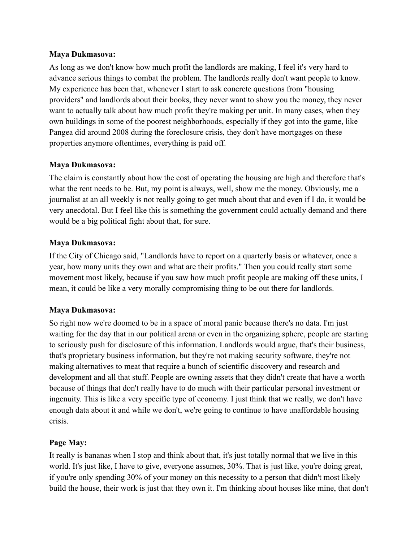#### **Maya Dukmasova:**

As long as we don't know how much profit the landlords are making, I feel it's very hard to advance serious things to combat the problem. The landlords really don't want people to know. My experience has been that, whenever I start to ask concrete questions from "housing providers" and landlords about their books, they never want to show you the money, they never want to actually talk about how much profit they're making per unit. In many cases, when they own buildings in some of the poorest neighborhoods, especially if they got into the game, like Pangea did around 2008 during the foreclosure crisis, they don't have mortgages on these properties anymore oftentimes, everything is paid off.

# **Maya Dukmasova:**

The claim is constantly about how the cost of operating the housing are high and therefore that's what the rent needs to be. But, my point is always, well, show me the money. Obviously, me a journalist at an all weekly is not really going to get much about that and even if I do, it would be very anecdotal. But I feel like this is something the government could actually demand and there would be a big political fight about that, for sure.

# **Maya Dukmasova:**

If the City of Chicago said, "Landlords have to report on a quarterly basis or whatever, once a year, how many units they own and what are their profits." Then you could really start some movement most likely, because if you saw how much profit people are making off these units, I mean, it could be like a very morally compromising thing to be out there for landlords.

# **Maya Dukmasova:**

So right now we're doomed to be in a space of moral panic because there's no data. I'm just waiting for the day that in our political arena or even in the organizing sphere, people are starting to seriously push for disclosure of this information. Landlords would argue, that's their business, that's proprietary business information, but they're not making security software, they're not making alternatives to meat that require a bunch of scientific discovery and research and development and all that stuff. People are owning assets that they didn't create that have a worth because of things that don't really have to do much with their particular personal investment or ingenuity. This is like a very specific type of economy. I just think that we really, we don't have enough data about it and while we don't, we're going to continue to have unaffordable housing crisis.

# **Page May:**

It really is bananas when I stop and think about that, it's just totally normal that we live in this world. It's just like, I have to give, everyone assumes, 30%. That is just like, you're doing great, if you're only spending 30% of your money on this necessity to a person that didn't most likely build the house, their work is just that they own it. I'm thinking about houses like mine, that don't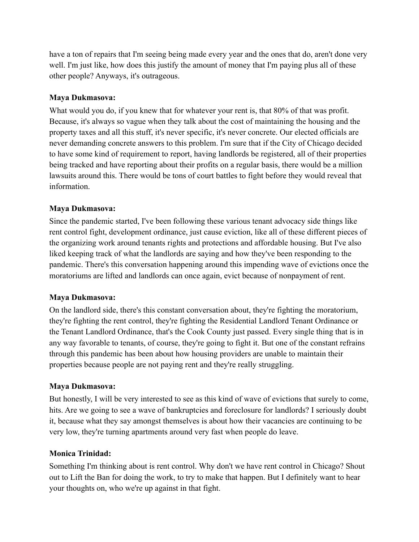have a ton of repairs that I'm seeing being made every year and the ones that do, aren't done very well. I'm just like, how does this justify the amount of money that I'm paying plus all of these other people? Anyways, it's outrageous.

## **Maya Dukmasova:**

What would you do, if you knew that for whatever your rent is, that 80% of that was profit. Because, it's always so vague when they talk about the cost of maintaining the housing and the property taxes and all this stuff, it's never specific, it's never concrete. Our elected officials are never demanding concrete answers to this problem. I'm sure that if the City of Chicago decided to have some kind of requirement to report, having landlords be registered, all of their properties being tracked and have reporting about their profits on a regular basis, there would be a million lawsuits around this. There would be tons of court battles to fight before they would reveal that information.

# **Maya Dukmasova:**

Since the pandemic started, I've been following these various tenant advocacy side things like rent control fight, development ordinance, just cause eviction, like all of these different pieces of the organizing work around tenants rights and protections and affordable housing. But I've also liked keeping track of what the landlords are saying and how they've been responding to the pandemic. There's this conversation happening around this impending wave of evictions once the moratoriums are lifted and landlords can once again, evict because of nonpayment of rent.

# **Maya Dukmasova:**

On the landlord side, there's this constant conversation about, they're fighting the moratorium, they're fighting the rent control, they're fighting the Residential Landlord Tenant Ordinance or the Tenant Landlord Ordinance, that's the Cook County just passed. Every single thing that is in any way favorable to tenants, of course, they're going to fight it. But one of the constant refrains through this pandemic has been about how housing providers are unable to maintain their properties because people are not paying rent and they're really struggling.

# **Maya Dukmasova:**

But honestly, I will be very interested to see as this kind of wave of evictions that surely to come, hits. Are we going to see a wave of bankruptcies and foreclosure for landlords? I seriously doubt it, because what they say amongst themselves is about how their vacancies are continuing to be very low, they're turning apartments around very fast when people do leave.

## **Monica Trinidad:**

Something I'm thinking about is rent control. Why don't we have rent control in Chicago? Shout out to Lift the Ban for doing the work, to try to make that happen. But I definitely want to hear your thoughts on, who we're up against in that fight.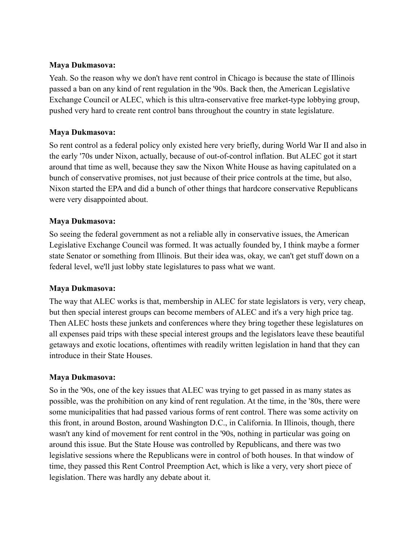### **Maya Dukmasova:**

Yeah. So the reason why we don't have rent control in Chicago is because the state of Illinois passed a ban on any kind of rent regulation in the '90s. Back then, the American Legislative Exchange Council or ALEC, which is this ultra-conservative free market-type lobbying group, pushed very hard to create rent control bans throughout the country in state legislature.

## **Maya Dukmasova:**

So rent control as a federal policy only existed here very briefly, during World War II and also in the early '70s under Nixon, actually, because of out-of-control inflation. But ALEC got it start around that time as well, because they saw the Nixon White House as having capitulated on a bunch of conservative promises, not just because of their price controls at the time, but also, Nixon started the EPA and did a bunch of other things that hardcore conservative Republicans were very disappointed about.

### **Maya Dukmasova:**

So seeing the federal government as not a reliable ally in conservative issues, the American Legislative Exchange Council was formed. It was actually founded by, I think maybe a former state Senator or something from Illinois. But their idea was, okay, we can't get stuff down on a federal level, we'll just lobby state legislatures to pass what we want.

#### **Maya Dukmasova:**

The way that ALEC works is that, membership in ALEC for state legislators is very, very cheap, but then special interest groups can become members of ALEC and it's a very high price tag. Then ALEC hosts these junkets and conferences where they bring together these legislatures on all expenses paid trips with these special interest groups and the legislators leave these beautiful getaways and exotic locations, oftentimes with readily written legislation in hand that they can introduce in their State Houses.

#### **Maya Dukmasova:**

So in the '90s, one of the key issues that ALEC was trying to get passed in as many states as possible, was the prohibition on any kind of rent regulation. At the time, in the '80s, there were some municipalities that had passed various forms of rent control. There was some activity on this front, in around Boston, around Washington D.C., in California. In Illinois, though, there wasn't any kind of movement for rent control in the '90s, nothing in particular was going on around this issue. But the State House was controlled by Republicans, and there was two legislative sessions where the Republicans were in control of both houses. In that window of time, they passed this Rent Control Preemption Act, which is like a very, very short piece of legislation. There was hardly any debate about it.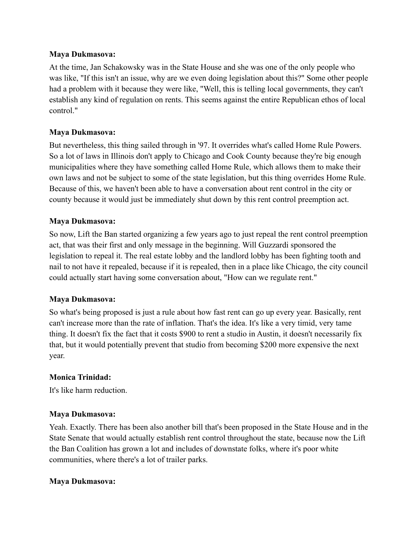#### **Maya Dukmasova:**

At the time, Jan Schakowsky was in the State House and she was one of the only people who was like, "If this isn't an issue, why are we even doing legislation about this?" Some other people had a problem with it because they were like, "Well, this is telling local governments, they can't establish any kind of regulation on rents. This seems against the entire Republican ethos of local control."

# **Maya Dukmasova:**

But nevertheless, this thing sailed through in '97. It overrides what's called Home Rule Powers. So a lot of laws in Illinois don't apply to Chicago and Cook County because they're big enough municipalities where they have something called Home Rule, which allows them to make their own laws and not be subject to some of the state legislation, but this thing overrides Home Rule. Because of this, we haven't been able to have a conversation about rent control in the city or county because it would just be immediately shut down by this rent control preemption act.

## **Maya Dukmasova:**

So now, Lift the Ban started organizing a few years ago to just repeal the rent control preemption act, that was their first and only message in the beginning. Will Guzzardi sponsored the legislation to repeal it. The real estate lobby and the landlord lobby has been fighting tooth and nail to not have it repealed, because if it is repealed, then in a place like Chicago, the city council could actually start having some conversation about, "How can we regulate rent."

## **Maya Dukmasova:**

So what's being proposed is just a rule about how fast rent can go up every year. Basically, rent can't increase more than the rate of inflation. That's the idea. It's like a very timid, very tame thing. It doesn't fix the fact that it costs \$900 to rent a studio in Austin, it doesn't necessarily fix that, but it would potentially prevent that studio from becoming \$200 more expensive the next year.

## **Monica Trinidad:**

It's like harm reduction.

## **Maya Dukmasova:**

Yeah. Exactly. There has been also another bill that's been proposed in the State House and in the State Senate that would actually establish rent control throughout the state, because now the Lift the Ban Coalition has grown a lot and includes of downstate folks, where it's poor white communities, where there's a lot of trailer parks.

## **Maya Dukmasova:**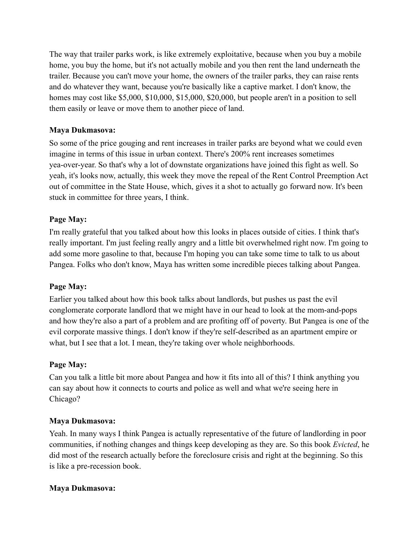The way that trailer parks work, is like extremely exploitative, because when you buy a mobile home, you buy the home, but it's not actually mobile and you then rent the land underneath the trailer. Because you can't move your home, the owners of the trailer parks, they can raise rents and do whatever they want, because you're basically like a captive market. I don't know, the homes may cost like \$5,000, \$10,000, \$15,000, \$20,000, but people aren't in a position to sell them easily or leave or move them to another piece of land.

# **Maya Dukmasova:**

So some of the price gouging and rent increases in trailer parks are beyond what we could even imagine in terms of this issue in urban context. There's 200% rent increases sometimes yea-over-year. So that's why a lot of downstate organizations have joined this fight as well. So yeah, it's looks now, actually, this week they move the repeal of the Rent Control Preemption Act out of committee in the State House, which, gives it a shot to actually go forward now. It's been stuck in committee for three years, I think.

# **Page May:**

I'm really grateful that you talked about how this looks in places outside of cities. I think that's really important. I'm just feeling really angry and a little bit overwhelmed right now. I'm going to add some more gasoline to that, because I'm hoping you can take some time to talk to us about Pangea. Folks who don't know, Maya has written some incredible pieces talking about Pangea.

## **Page May:**

Earlier you talked about how this book talks about landlords, but pushes us past the evil conglomerate corporate landlord that we might have in our head to look at the mom-and-pops and how they're also a part of a problem and are profiting off of poverty. But Pangea is one of the evil corporate massive things. I don't know if they're self-described as an apartment empire or what, but I see that a lot. I mean, they're taking over whole neighborhoods.

## **Page May:**

Can you talk a little bit more about Pangea and how it fits into all of this? I think anything you can say about how it connects to courts and police as well and what we're seeing here in Chicago?

## **Maya Dukmasova:**

Yeah. In many ways I think Pangea is actually representative of the future of landlording in poor communities, if nothing changes and things keep developing as they are. So this book *Evicted*, he did most of the research actually before the foreclosure crisis and right at the beginning. So this is like a pre-recession book.

## **Maya Dukmasova:**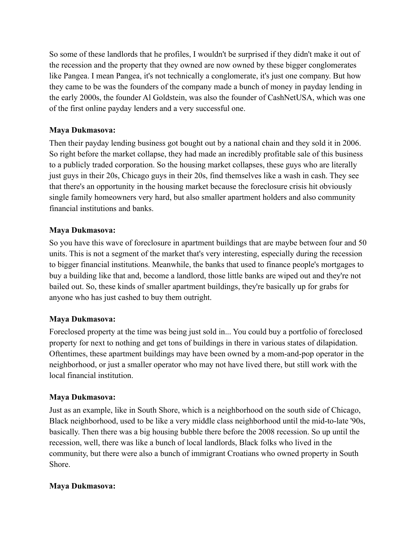So some of these landlords that he profiles, I wouldn't be surprised if they didn't make it out of the recession and the property that they owned are now owned by these bigger conglomerates like Pangea. I mean Pangea, it's not technically a conglomerate, it's just one company. But how they came to be was the founders of the company made a bunch of money in payday lending in the early 2000s, the founder Al Goldstein, was also the founder of CashNetUSA, which was one of the first online payday lenders and a very successful one.

## **Maya Dukmasova:**

Then their payday lending business got bought out by a national chain and they sold it in 2006. So right before the market collapse, they had made an incredibly profitable sale of this business to a publicly traded corporation. So the housing market collapses, these guys who are literally just guys in their 20s, Chicago guys in their 20s, find themselves like a wash in cash. They see that there's an opportunity in the housing market because the foreclosure crisis hit obviously single family homeowners very hard, but also smaller apartment holders and also community financial institutions and banks.

# **Maya Dukmasova:**

So you have this wave of foreclosure in apartment buildings that are maybe between four and 50 units. This is not a segment of the market that's very interesting, especially during the recession to bigger financial institutions. Meanwhile, the banks that used to finance people's mortgages to buy a building like that and, become a landlord, those little banks are wiped out and they're not bailed out. So, these kinds of smaller apartment buildings, they're basically up for grabs for anyone who has just cashed to buy them outright.

## **Maya Dukmasova:**

Foreclosed property at the time was being just sold in... You could buy a portfolio of foreclosed property for next to nothing and get tons of buildings in there in various states of dilapidation. Oftentimes, these apartment buildings may have been owned by a mom-and-pop operator in the neighborhood, or just a smaller operator who may not have lived there, but still work with the local financial institution.

## **Maya Dukmasova:**

Just as an example, like in South Shore, which is a neighborhood on the south side of Chicago, Black neighborhood, used to be like a very middle class neighborhood until the mid-to-late '90s, basically. Then there was a big housing bubble there before the 2008 recession. So up until the recession, well, there was like a bunch of local landlords, Black folks who lived in the community, but there were also a bunch of immigrant Croatians who owned property in South Shore.

## **Maya Dukmasova:**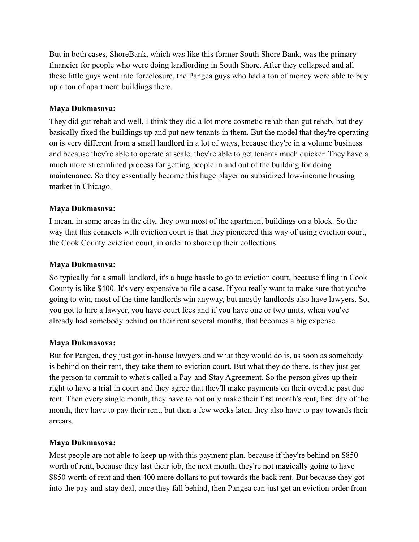But in both cases, ShoreBank, which was like this former South Shore Bank, was the primary financier for people who were doing landlording in South Shore. After they collapsed and all these little guys went into foreclosure, the Pangea guys who had a ton of money were able to buy up a ton of apartment buildings there.

## **Maya Dukmasova:**

They did gut rehab and well, I think they did a lot more cosmetic rehab than gut rehab, but they basically fixed the buildings up and put new tenants in them. But the model that they're operating on is very different from a small landlord in a lot of ways, because they're in a volume business and because they're able to operate at scale, they're able to get tenants much quicker. They have a much more streamlined process for getting people in and out of the building for doing maintenance. So they essentially become this huge player on subsidized low-income housing market in Chicago.

## **Maya Dukmasova:**

I mean, in some areas in the city, they own most of the apartment buildings on a block. So the way that this connects with eviction court is that they pioneered this way of using eviction court, the Cook County eviction court, in order to shore up their collections.

## **Maya Dukmasova:**

So typically for a small landlord, it's a huge hassle to go to eviction court, because filing in Cook County is like \$400. It's very expensive to file a case. If you really want to make sure that you're going to win, most of the time landlords win anyway, but mostly landlords also have lawyers. So, you got to hire a lawyer, you have court fees and if you have one or two units, when you've already had somebody behind on their rent several months, that becomes a big expense.

# **Maya Dukmasova:**

But for Pangea, they just got in-house lawyers and what they would do is, as soon as somebody is behind on their rent, they take them to eviction court. But what they do there, is they just get the person to commit to what's called a Pay-and-Stay Agreement. So the person gives up their right to have a trial in court and they agree that they'll make payments on their overdue past due rent. Then every single month, they have to not only make their first month's rent, first day of the month, they have to pay their rent, but then a few weeks later, they also have to pay towards their arrears.

# **Maya Dukmasova:**

Most people are not able to keep up with this payment plan, because if they're behind on \$850 worth of rent, because they last their job, the next month, they're not magically going to have \$850 worth of rent and then 400 more dollars to put towards the back rent. But because they got into the pay-and-stay deal, once they fall behind, then Pangea can just get an eviction order from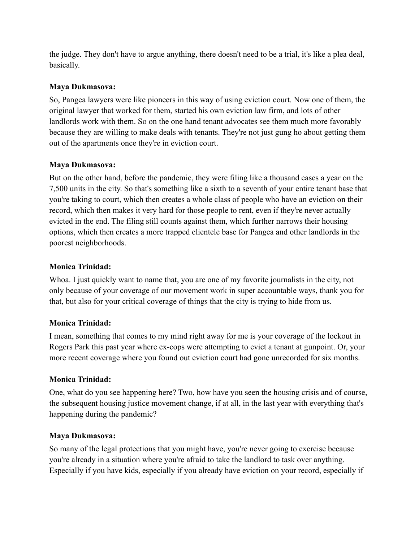the judge. They don't have to argue anything, there doesn't need to be a trial, it's like a plea deal, basically.

# **Maya Dukmasova:**

So, Pangea lawyers were like pioneers in this way of using eviction court. Now one of them, the original lawyer that worked for them, started his own eviction law firm, and lots of other landlords work with them. So on the one hand tenant advocates see them much more favorably because they are willing to make deals with tenants. They're not just gung ho about getting them out of the apartments once they're in eviction court.

# **Maya Dukmasova:**

But on the other hand, before the pandemic, they were filing like a thousand cases a year on the 7,500 units in the city. So that's something like a sixth to a seventh of your entire tenant base that you're taking to court, which then creates a whole class of people who have an eviction on their record, which then makes it very hard for those people to rent, even if they're never actually evicted in the end. The filing still counts against them, which further narrows their housing options, which then creates a more trapped clientele base for Pangea and other landlords in the poorest neighborhoods.

# **Monica Trinidad:**

Whoa. I just quickly want to name that, you are one of my favorite journalists in the city, not only because of your coverage of our movement work in super accountable ways, thank you for that, but also for your critical coverage of things that the city is trying to hide from us.

# **Monica Trinidad:**

I mean, something that comes to my mind right away for me is your coverage of the lockout in Rogers Park this past year where ex-cops were attempting to evict a tenant at gunpoint. Or, your more recent coverage where you found out eviction court had gone unrecorded for six months.

## **Monica Trinidad:**

One, what do you see happening here? Two, how have you seen the housing crisis and of course, the subsequent housing justice movement change, if at all, in the last year with everything that's happening during the pandemic?

## **Maya Dukmasova:**

So many of the legal protections that you might have, you're never going to exercise because you're already in a situation where you're afraid to take the landlord to task over anything. Especially if you have kids, especially if you already have eviction on your record, especially if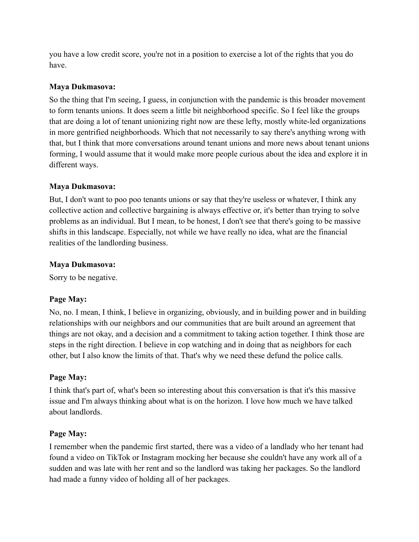you have a low credit score, you're not in a position to exercise a lot of the rights that you do have.

## **Maya Dukmasova:**

So the thing that I'm seeing, I guess, in conjunction with the pandemic is this broader movement to form tenants unions. It does seem a little bit neighborhood specific. So I feel like the groups that are doing a lot of tenant unionizing right now are these lefty, mostly white-led organizations in more gentrified neighborhoods. Which that not necessarily to say there's anything wrong with that, but I think that more conversations around tenant unions and more news about tenant unions forming, I would assume that it would make more people curious about the idea and explore it in different ways.

# **Maya Dukmasova:**

But, I don't want to poo poo tenants unions or say that they're useless or whatever, I think any collective action and collective bargaining is always effective or, it's better than trying to solve problems as an individual. But I mean, to be honest, I don't see that there's going to be massive shifts in this landscape. Especially, not while we have really no idea, what are the financial realities of the landlording business.

## **Maya Dukmasova:**

Sorry to be negative.

# **Page May:**

No, no. I mean, I think, I believe in organizing, obviously, and in building power and in building relationships with our neighbors and our communities that are built around an agreement that things are not okay, and a decision and a commitment to taking action together. I think those are steps in the right direction. I believe in cop watching and in doing that as neighbors for each other, but I also know the limits of that. That's why we need these defund the police calls.

# **Page May:**

I think that's part of, what's been so interesting about this conversation is that it's this massive issue and I'm always thinking about what is on the horizon. I love how much we have talked about landlords.

# **Page May:**

I remember when the pandemic first started, there was a video of a landlady who her tenant had found a video on TikTok or Instagram mocking her because she couldn't have any work all of a sudden and was late with her rent and so the landlord was taking her packages. So the landlord had made a funny video of holding all of her packages.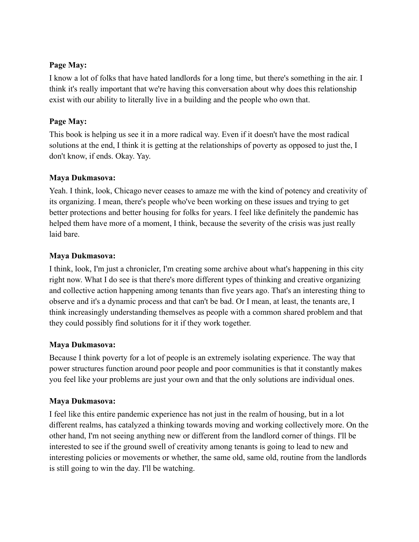## **Page May:**

I know a lot of folks that have hated landlords for a long time, but there's something in the air. I think it's really important that we're having this conversation about why does this relationship exist with our ability to literally live in a building and the people who own that.

# **Page May:**

This book is helping us see it in a more radical way. Even if it doesn't have the most radical solutions at the end, I think it is getting at the relationships of poverty as opposed to just the, I don't know, if ends. Okay. Yay.

# **Maya Dukmasova:**

Yeah. I think, look, Chicago never ceases to amaze me with the kind of potency and creativity of its organizing. I mean, there's people who've been working on these issues and trying to get better protections and better housing for folks for years. I feel like definitely the pandemic has helped them have more of a moment, I think, because the severity of the crisis was just really laid bare.

# **Maya Dukmasova:**

I think, look, I'm just a chronicler, I'm creating some archive about what's happening in this city right now. What I do see is that there's more different types of thinking and creative organizing and collective action happening among tenants than five years ago. That's an interesting thing to observe and it's a dynamic process and that can't be bad. Or I mean, at least, the tenants are, I think increasingly understanding themselves as people with a common shared problem and that they could possibly find solutions for it if they work together.

# **Maya Dukmasova:**

Because I think poverty for a lot of people is an extremely isolating experience. The way that power structures function around poor people and poor communities is that it constantly makes you feel like your problems are just your own and that the only solutions are individual ones.

# **Maya Dukmasova:**

I feel like this entire pandemic experience has not just in the realm of housing, but in a lot different realms, has catalyzed a thinking towards moving and working collectively more. On the other hand, I'm not seeing anything new or different from the landlord corner of things. I'll be interested to see if the ground swell of creativity among tenants is going to lead to new and interesting policies or movements or whether, the same old, same old, routine from the landlords is still going to win the day. I'll be watching.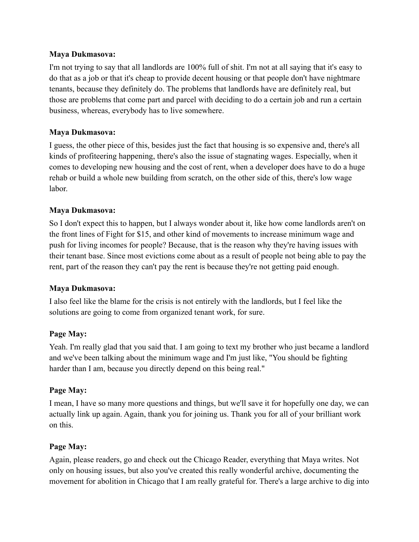### **Maya Dukmasova:**

I'm not trying to say that all landlords are 100% full of shit. I'm not at all saying that it's easy to do that as a job or that it's cheap to provide decent housing or that people don't have nightmare tenants, because they definitely do. The problems that landlords have are definitely real, but those are problems that come part and parcel with deciding to do a certain job and run a certain business, whereas, everybody has to live somewhere.

## **Maya Dukmasova:**

I guess, the other piece of this, besides just the fact that housing is so expensive and, there's all kinds of profiteering happening, there's also the issue of stagnating wages. Especially, when it comes to developing new housing and the cost of rent, when a developer does have to do a huge rehab or build a whole new building from scratch, on the other side of this, there's low wage labor.

# **Maya Dukmasova:**

So I don't expect this to happen, but I always wonder about it, like how come landlords aren't on the front lines of Fight for \$15, and other kind of movements to increase minimum wage and push for living incomes for people? Because, that is the reason why they're having issues with their tenant base. Since most evictions come about as a result of people not being able to pay the rent, part of the reason they can't pay the rent is because they're not getting paid enough.

## **Maya Dukmasova:**

I also feel like the blame for the crisis is not entirely with the landlords, but I feel like the solutions are going to come from organized tenant work, for sure.

## **Page May:**

Yeah. I'm really glad that you said that. I am going to text my brother who just became a landlord and we've been talking about the minimum wage and I'm just like, "You should be fighting harder than I am, because you directly depend on this being real."

## **Page May:**

I mean, I have so many more questions and things, but we'll save it for hopefully one day, we can actually link up again. Again, thank you for joining us. Thank you for all of your brilliant work on this.

## **Page May:**

Again, please readers, go and check out the Chicago Reader, everything that Maya writes. Not only on housing issues, but also you've created this really wonderful archive, documenting the movement for abolition in Chicago that I am really grateful for. There's a large archive to dig into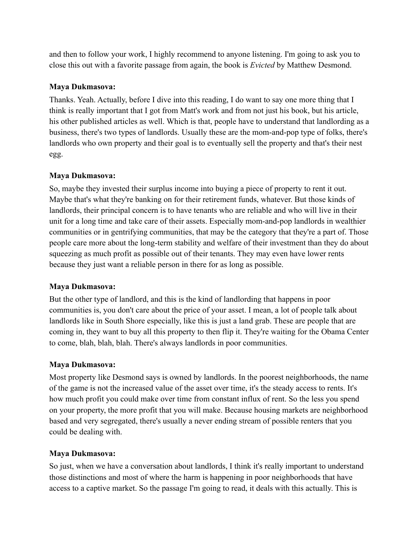and then to follow your work, I highly recommend to anyone listening. I'm going to ask you to close this out with a favorite passage from again, the book is *Evicted* by Matthew Desmond.

# **Maya Dukmasova:**

Thanks. Yeah. Actually, before I dive into this reading, I do want to say one more thing that I think is really important that I got from Matt's work and from not just his book, but his article, his other published articles as well. Which is that, people have to understand that landlording as a business, there's two types of landlords. Usually these are the mom-and-pop type of folks, there's landlords who own property and their goal is to eventually sell the property and that's their nest egg.

# **Maya Dukmasova:**

So, maybe they invested their surplus income into buying a piece of property to rent it out. Maybe that's what they're banking on for their retirement funds, whatever. But those kinds of landlords, their principal concern is to have tenants who are reliable and who will live in their unit for a long time and take care of their assets. Especially mom-and-pop landlords in wealthier communities or in gentrifying communities, that may be the category that they're a part of. Those people care more about the long-term stability and welfare of their investment than they do about squeezing as much profit as possible out of their tenants. They may even have lower rents because they just want a reliable person in there for as long as possible.

## **Maya Dukmasova:**

But the other type of landlord, and this is the kind of landlording that happens in poor communities is, you don't care about the price of your asset. I mean, a lot of people talk about landlords like in South Shore especially, like this is just a land grab. These are people that are coming in, they want to buy all this property to then flip it. They're waiting for the Obama Center to come, blah, blah, blah. There's always landlords in poor communities.

## **Maya Dukmasova:**

Most property like Desmond says is owned by landlords. In the poorest neighborhoods, the name of the game is not the increased value of the asset over time, it's the steady access to rents. It's how much profit you could make over time from constant influx of rent. So the less you spend on your property, the more profit that you will make. Because housing markets are neighborhood based and very segregated, there's usually a never ending stream of possible renters that you could be dealing with.

# **Maya Dukmasova:**

So just, when we have a conversation about landlords, I think it's really important to understand those distinctions and most of where the harm is happening in poor neighborhoods that have access to a captive market. So the passage I'm going to read, it deals with this actually. This is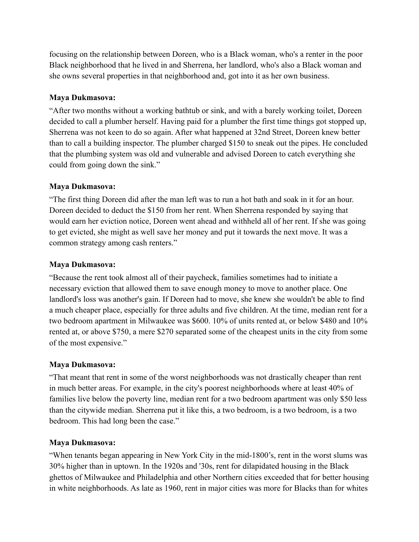focusing on the relationship between Doreen, who is a Black woman, who's a renter in the poor Black neighborhood that he lived in and Sherrena, her landlord, who's also a Black woman and she owns several properties in that neighborhood and, got into it as her own business.

## **Maya Dukmasova:**

"After two months without a working bathtub or sink, and with a barely working toilet, Doreen decided to call a plumber herself. Having paid for a plumber the first time things got stopped up, Sherrena was not keen to do so again. After what happened at 32nd Street, Doreen knew better than to call a building inspector. The plumber charged \$150 to sneak out the pipes. He concluded that the plumbing system was old and vulnerable and advised Doreen to catch everything she could from going down the sink."

# **Maya Dukmasova:**

"The first thing Doreen did after the man left was to run a hot bath and soak in it for an hour. Doreen decided to deduct the \$150 from her rent. When Sherrena responded by saying that would earn her eviction notice, Doreen went ahead and withheld all of her rent. If she was going to get evicted, she might as well save her money and put it towards the next move. It was a common strategy among cash renters."

# **Maya Dukmasova:**

"Because the rent took almost all of their paycheck, families sometimes had to initiate a necessary eviction that allowed them to save enough money to move to another place. One landlord's loss was another's gain. If Doreen had to move, she knew she wouldn't be able to find a much cheaper place, especially for three adults and five children. At the time, median rent for a two bedroom apartment in Milwaukee was \$600. 10% of units rented at, or below \$480 and 10% rented at, or above \$750, a mere \$270 separated some of the cheapest units in the city from some of the most expensive."

# **Maya Dukmasova:**

"That meant that rent in some of the worst neighborhoods was not drastically cheaper than rent in much better areas. For example, in the city's poorest neighborhoods where at least 40% of families live below the poverty line, median rent for a two bedroom apartment was only \$50 less than the citywide median. Sherrena put it like this, a two bedroom, is a two bedroom, is a two bedroom. This had long been the case."

# **Maya Dukmasova:**

"When tenants began appearing in New York City in the mid-1800's, rent in the worst slums was 30% higher than in uptown. In the 1920s and '30s, rent for dilapidated housing in the Black ghettos of Milwaukee and Philadelphia and other Northern cities exceeded that for better housing in white neighborhoods. As late as 1960, rent in major cities was more for Blacks than for whites